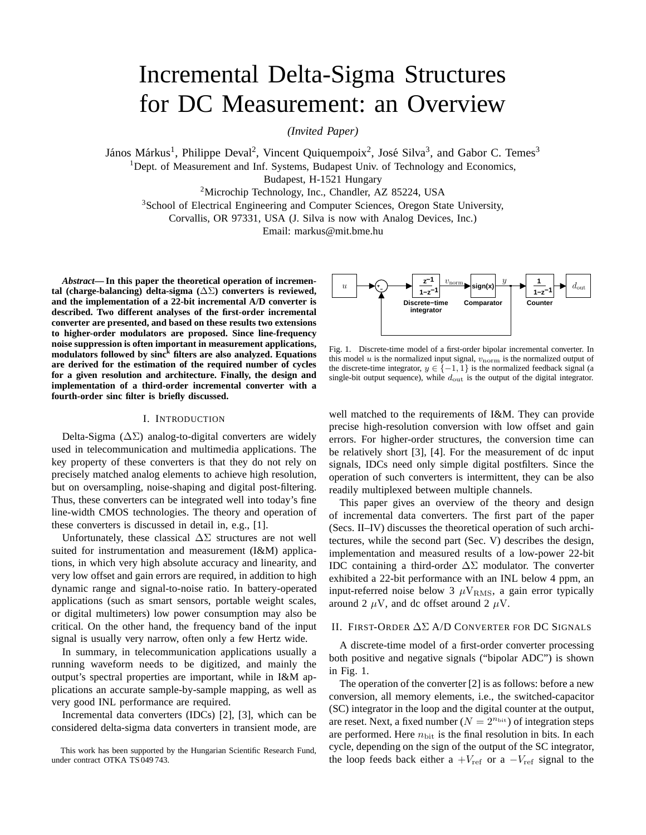# Incremental Delta-Sigma Structures for DC Measurement: an Overview

*(Invited Paper)*

János Márkus<sup>1</sup>, Philippe Deval<sup>2</sup>, Vincent Quiquempoix<sup>2</sup>, José Silva<sup>3</sup>, and Gabor C. Temes<sup>3</sup>

<sup>1</sup>Dept. of Measurement and Inf. Systems, Budapest Univ. of Technology and Economics,

Budapest, H-1521 Hungary

<sup>2</sup>Microchip Technology, Inc., Chandler, AZ 85224, USA

<sup>3</sup>School of Electrical Engineering and Computer Sciences, Oregon State University,

Corvallis, OR 97331, USA (J. Silva is now with Analog Devices, Inc.)

Email: markus@mit.bme.hu

*Abstract***— In this paper the theoretical operation of incremental (charge-balancing) delta-sigma (**∆Σ**) converters is reviewed, and the implementation of a 22-bit incremental A/D converter is described. Two different analyses of the first-order incremental converter are presented, and based on these results two extensions to higher-order modulators are proposed. Since line-frequency noise suppression is often important in measurement applications, modulators followed by sinc<sup>k</sup> filters are also analyzed. Equations are derived for the estimation of the required number of cycles for a given resolution and architecture. Finally, the design and implementation of a third-order incremental converter with a fourth-order sinc filter is briefly discussed.**

# I. INTRODUCTION

Delta-Sigma ( $\Delta\Sigma$ ) analog-to-digital converters are widely used in telecommunication and multimedia applications. The key property of these converters is that they do not rely on precisely matched analog elements to achieve high resolution, but on oversampling, noise-shaping and digital post-filtering. Thus, these converters can be integrated well into today's fine line-width CMOS technologies. The theory and operation of these converters is discussed in detail in, e.g., [1].

Unfortunately, these classical  $\Delta\Sigma$  structures are not well suited for instrumentation and measurement (I&M) applications, in which very high absolute accuracy and linearity, and very low offset and gain errors are required, in addition to high dynamic range and signal-to-noise ratio. In battery-operated applications (such as smart sensors, portable weight scales, or digital multimeters) low power consumption may also be critical. On the other hand, the frequency band of the input signal is usually very narrow, often only a few Hertz wide.

In summary, in telecommunication applications usually a running waveform needs to be digitized, and mainly the output's spectral properties are important, while in I&M applications an accurate sample-by-sample mapping, as well as very good INL performance are required.

Incremental data converters (IDCs) [2], [3], which can be considered delta-sigma data converters in transient mode, are





Fig. 1. Discrete-time model of a first-order bipolar incremental converter. In this model  $u$  is the normalized input signal,  $v_{\text{norm}}$  is the normalized output of the discrete-time integrator,  $y \in \{-1, 1\}$  is the normalized feedback signal (a single-bit output sequence), while  $d_{\text{out}}$  is the output of the digital integrator.

well matched to the requirements of I&M. They can provide precise high-resolution conversion with low offset and gain errors. For higher-order structures, the conversion time can be relatively short [3], [4]. For the measurement of dc input signals, IDCs need only simple digital postfilters. Since the operation of such converters is intermittent, they can be also readily multiplexed between multiple channels.

This paper gives an overview of the theory and design of incremental data converters. The first part of the paper (Secs. II–IV) discusses the theoretical operation of such architectures, while the second part (Sec. V) describes the design, implementation and measured results of a low-power 22-bit IDC containing a third-order ∆Σ modulator. The converter exhibited a 22-bit performance with an INL below 4 ppm, an input-referred noise below 3  $\mu$ V<sub>RMS</sub>, a gain error typically around 2  $\mu$ V, and dc offset around 2  $\mu$ V.

# II. FIRST-ORDER ∆Σ A/D CONVERTER FOR DC SIGNALS

A discrete-time model of a first-order converter processing both positive and negative signals ("bipolar ADC") is shown in Fig. 1.

The operation of the converter [2] is as follows: before a new conversion, all memory elements, i.e., the switched-capacitor (SC) integrator in the loop and the digital counter at the output, are reset. Next, a fixed number ( $N = 2^{n_{\text{bit}}}$ ) of integration steps are performed. Here  $n_{\text{bit}}$  is the final resolution in bits. In each cycle, depending on the sign of the output of the SC integrator, the loop feeds back either a  $+V_{ref}$  or a  $-V_{ref}$  signal to the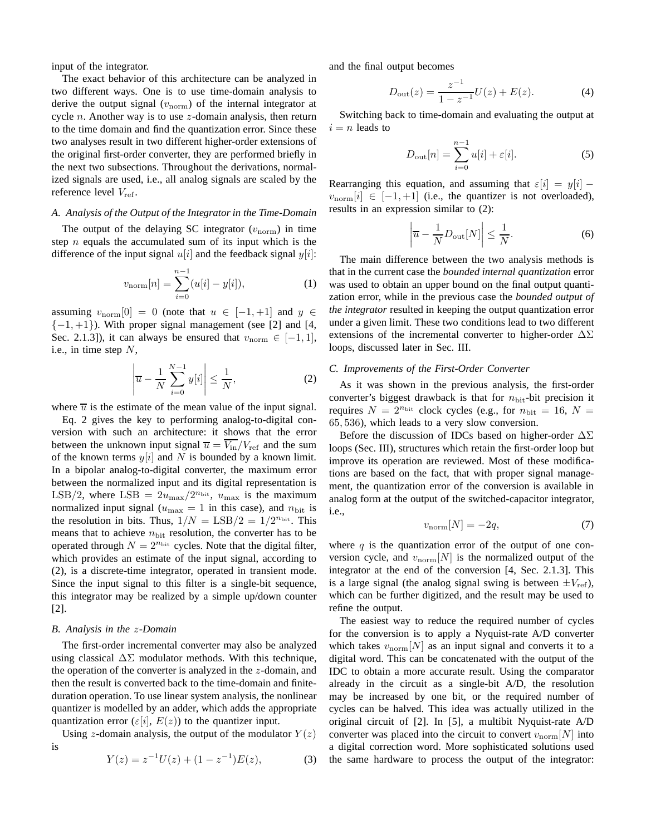input of the integrator.

The exact behavior of this architecture can be analyzed in two different ways. One is to use time-domain analysis to derive the output signal  $(v_{\text{norm}})$  of the internal integrator at cycle  $n$ . Another way is to use  $z$ -domain analysis, then return to the time domain and find the quantization error. Since these two analyses result in two different higher-order extensions of the original first-order converter, they are performed briefly in the next two subsections. Throughout the derivations, normalized signals are used, i.e., all analog signals are scaled by the reference level  $V_{ref}$ .

## *A. Analysis of the Output of the Integrator in the Time-Domain*

The output of the delaying SC integrator  $(v_{\text{norm}})$  in time step  $n$  equals the accumulated sum of its input which is the difference of the input signal  $u[i]$  and the feedback signal  $y[i]$ :

$$
v_{\text{norm}}[n] = \sum_{i=0}^{n-1} (u[i] - y[i]), \tag{1}
$$

assuming  $v_{\text{norm}}[0] = 0$  (note that  $u \in [-1, +1]$  and  $y \in$  $\{-1,+1\}$ ). With proper signal management (see [2] and [4, Sec. 2.1.3]), it can always be ensured that  $v_{\text{norm}} \in [-1, 1]$ , i.e., in time step  $N$ ,

$$
\left|\overline{u} - \frac{1}{N} \sum_{i=0}^{N-1} y[i]\right| \le \frac{1}{N},\tag{2}
$$

where  $\overline{u}$  is the estimate of the mean value of the input signal.

Eq. 2 gives the key to performing analog-to-digital conversion with such an architecture: it shows that the error between the unknown input signal  $\overline{u} = \overline{V_{\text{in}}}/V_{\text{ref}}$  and the sum of the known terms  $y[i]$  and N is bounded by a known limit. In a bipolar analog-to-digital converter, the maximum error between the normalized input and its digital representation is LSB/2, where LSB =  $2u_{\text{max}}/2^{n_{\text{bit}}}$ ,  $u_{\text{max}}$  is the maximum normalized input signal ( $u_{\text{max}} = 1$  in this case), and  $n_{\text{bit}}$  is the resolution in bits. Thus,  $1/N = \text{LSB}/2 = 1/2^{n_{\text{bit}}}$ . This means that to achieve  $n_{\text{bit}}$  resolution, the converter has to be operated through  $N = 2^{n_{\text{bit}}}$  cycles. Note that the digital filter, which provides an estimate of the input signal, according to (2), is a discrete-time integrator, operated in transient mode. Since the input signal to this filter is a single-bit sequence, this integrator may be realized by a simple up/down counter [2].

## *B. Analysis in the* z*-Domain*

The first-order incremental converter may also be analyzed using classical  $\Delta\Sigma$  modulator methods. With this technique, the operation of the converter is analyzed in the  $z$ -domain, and then the result is converted back to the time-domain and finiteduration operation. To use linear system analysis, the nonlinear quantizer is modelled by an adder, which adds the appropriate quantization error  $(\varepsilon[i], E(z))$  to the quantizer input.

Using z-domain analysis, the output of the modulator  $Y(z)$ is

$$
Y(z) = z^{-1}U(z) + (1 - z^{-1})E(z),
$$
 (3)

and the final output becomes

$$
D_{\text{out}}(z) = \frac{z^{-1}}{1 - z^{-1}}U(z) + E(z).
$$
 (4)

Switching back to time-domain and evaluating the output at  $i = n$  leads to

$$
D_{\text{out}}[n] = \sum_{i=0}^{n-1} u[i] + \varepsilon[i]. \tag{5}
$$

Rearranging this equation, and assuming that  $\varepsilon[i] = y[i]$  –  $v_{\text{norm}}[i] \in [-1, +1]$  (i.e., the quantizer is not overloaded), results in an expression similar to (2):

$$
\left|\overline{u} - \frac{1}{N}D_{\text{out}}[N]\right| \le \frac{1}{N}.\tag{6}
$$

The main difference between the two analysis methods is that in the current case the *bounded internal quantization* error was used to obtain an upper bound on the final output quantization error, while in the previous case the *bounded output of the integrator* resulted in keeping the output quantization error under a given limit. These two conditions lead to two different extensions of the incremental converter to higher-order  $\Delta\Sigma$ loops, discussed later in Sec. III.

## *C. Improvements of the First-Order Converter*

As it was shown in the previous analysis, the first-order converter's biggest drawback is that for  $n_{\text{bit}}$ -bit precision it requires  $N = 2^{n_{\text{bit}}}$  clock cycles (e.g., for  $n_{\text{bit}} = 16$ ,  $N =$ 65, 536), which leads to a very slow conversion.

Before the discussion of IDCs based on higher-order  $\Delta\Sigma$ loops (Sec. III), structures which retain the first-order loop but improve its operation are reviewed. Most of these modifications are based on the fact, that with proper signal management, the quantization error of the conversion is available in analog form at the output of the switched-capacitor integrator, i.e.,

$$
v_{\text{norm}}[N] = -2q,\tag{7}
$$

where  $q$  is the quantization error of the output of one conversion cycle, and  $v_{\text{norm}}[N]$  is the normalized output of the integrator at the end of the conversion [4, Sec. 2.1.3]. This is a large signal (the analog signal swing is between  $\pm V_{\text{ref}}$ ), which can be further digitized, and the result may be used to refine the output.

The easiest way to reduce the required number of cycles for the conversion is to apply a Nyquist-rate A/D converter which takes  $v_{\text{norm}}[N]$  as an input signal and converts it to a digital word. This can be concatenated with the output of the IDC to obtain a more accurate result. Using the comparator already in the circuit as a single-bit A/D, the resolution may be increased by one bit, or the required number of cycles can be halved. This idea was actually utilized in the original circuit of [2]. In [5], a multibit Nyquist-rate A/D converter was placed into the circuit to convert  $v_{\text{norm}}[N]$  into a digital correction word. More sophisticated solutions used the same hardware to process the output of the integrator: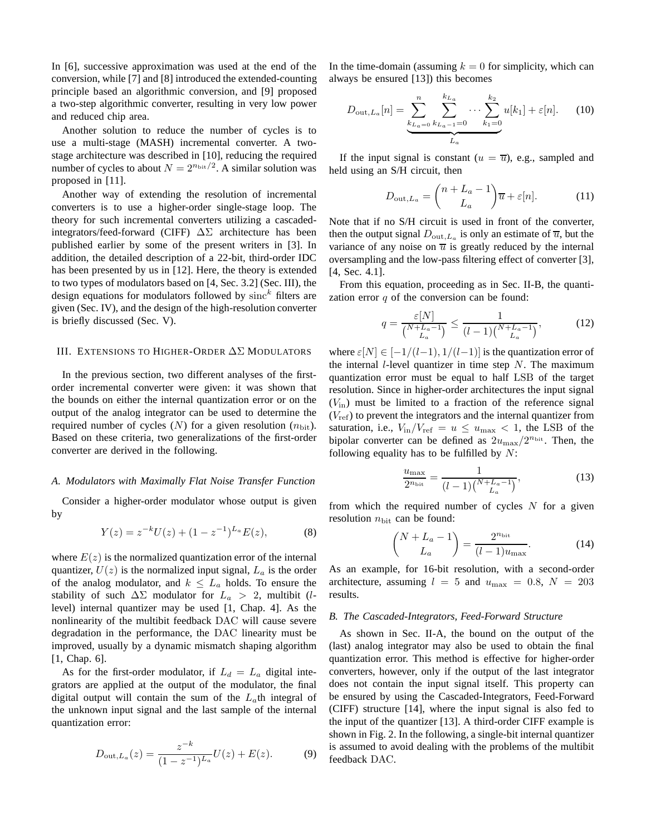In [6], successive approximation was used at the end of the conversion, while [7] and [8] introduced the extended-counting principle based an algorithmic conversion, and [9] proposed a two-step algorithmic converter, resulting in very low power and reduced chip area.

Another solution to reduce the number of cycles is to use a multi-stage (MASH) incremental converter. A twostage architecture was described in [10], reducing the required number of cycles to about  $N = 2^{n_{\text{bit}}/2}$ . A similar solution was proposed in [11].

Another way of extending the resolution of incremental converters is to use a higher-order single-stage loop. The theory for such incremental converters utilizing a cascadedintegrators/feed-forward (CIFF)  $\Delta\Sigma$  architecture has been published earlier by some of the present writers in [3]. In addition, the detailed description of a 22-bit, third-order IDC has been presented by us in [12]. Here, the theory is extended to two types of modulators based on [4, Sec. 3.2] (Sec. III), the design equations for modulators followed by  $\text{sinc}^k$  filters are given (Sec. IV), and the design of the high-resolution converter is briefly discussed (Sec. V).

# III. EXTENSIONS TO HIGHER-ORDER ∆Σ MODULATORS

In the previous section, two different analyses of the firstorder incremental converter were given: it was shown that the bounds on either the internal quantization error or on the output of the analog integrator can be used to determine the required number of cycles  $(N)$  for a given resolution  $(n_{\text{bit}})$ . Based on these criteria, two generalizations of the first-order converter are derived in the following.

## *A. Modulators with Maximally Flat Noise Transfer Function*

Consider a higher-order modulator whose output is given by

$$
Y(z) = z^{-k}U(z) + (1 - z^{-1})^{L_a}E(z),
$$
 (8)

where  $E(z)$  is the normalized quantization error of the internal quantizer,  $U(z)$  is the normalized input signal,  $L_a$  is the order of the analog modulator, and  $k \leq L_a$  holds. To ensure the stability of such  $\Delta \Sigma$  modulator for  $L_a > 2$ , multibit (llevel) internal quantizer may be used [1, Chap. 4]. As the nonlinearity of the multibit feedback DAC will cause severe degradation in the performance, the DAC linearity must be improved, usually by a dynamic mismatch shaping algorithm [1, Chap. 6].

As for the first-order modulator, if  $L_d = L_a$  digital integrators are applied at the output of the modulator, the final digital output will contain the sum of the  $L_a$ th integral of the unknown input signal and the last sample of the internal quantization error:

$$
D_{\text{out},L_a}(z) = \frac{z^{-k}}{(1-z^{-1})^{L_a}}U(z) + E(z). \tag{9}
$$

In the time-domain (assuming  $k = 0$  for simplicity, which can always be ensured [13]) this becomes

$$
D_{\text{out},L_a}[n] = \underbrace{\sum_{k_{L_a=0}}^{n} \sum_{k_{L_a=1}=0}^{k_{L_a}} \cdots \sum_{k_1=0}^{k_2}}_{L_a} u[k_1] + \varepsilon[n].
$$
 (10)

If the input signal is constant  $(u = \overline{u})$ , e.g., sampled and held using an S/H circuit, then

$$
D_{\text{out},L_a} = \binom{n + L_a - 1}{L_a} \overline{u} + \varepsilon [n]. \tag{11}
$$

Note that if no S/H circuit is used in front of the converter, then the output signal  $D_{\text{out},L_a}$  is only an estimate of  $\overline{u}$ , but the variance of any noise on  $\overline{u}$  is greatly reduced by the internal oversampling and the low-pass filtering effect of converter [3], [4, Sec. 4.1].

From this equation, proceeding as in Sec. II-B, the quantization error  $q$  of the conversion can be found:

$$
q = \frac{\varepsilon[N]}{\binom{N+L_a-1}{L_a}} \le \frac{1}{(l-1)\binom{N+L_a-1}{L_a}},\tag{12}
$$

where  $\varepsilon[N] \in [-1/(l-1), 1/(l-1)]$  is the quantization error of the internal  $l$ -level quantizer in time step  $N$ . The maximum quantization error must be equal to half LSB of the target resolution. Since in higher-order architectures the input signal  $(V_{\text{in}})$  must be limited to a fraction of the reference signal  $(V_{ref})$  to prevent the integrators and the internal quantizer from saturation, i.e.,  $V_{\text{in}}/V_{\text{ref}} = u \leq u_{\text{max}} < 1$ , the LSB of the bipolar converter can be defined as  $2u_{\text{max}}/2^{n_{\text{bit}}}$ . Then, the following equality has to be fulfilled by  $N$ :

$$
\frac{u_{\text{max}}}{2^{n_{\text{bit}}}} = \frac{1}{(l-1)\binom{N+L_a-1}{L_a}},\tag{13}
$$

from which the required number of cycles  $N$  for a given resolution  $n_{\text{bit}}$  can be found:

$$
\binom{N+L_a-1}{L_a} = \frac{2^{n_{\text{bit}}}}{(l-1)u_{\text{max}}}.\tag{14}
$$

As an example, for 16-bit resolution, with a second-order architecture, assuming  $l = 5$  and  $u_{\text{max}} = 0.8$ ,  $N = 203$ results.

#### *B. The Cascaded-Integrators, Feed-Forward Structure*

As shown in Sec. II-A, the bound on the output of the (last) analog integrator may also be used to obtain the final quantization error. This method is effective for higher-order converters, however, only if the output of the last integrator does not contain the input signal itself. This property can be ensured by using the Cascaded-Integrators, Feed-Forward (CIFF) structure [14], where the input signal is also fed to the input of the quantizer [13]. A third-order CIFF example is shown in Fig. 2. In the following, a single-bit internal quantizer is assumed to avoid dealing with the problems of the multibit feedback DAC.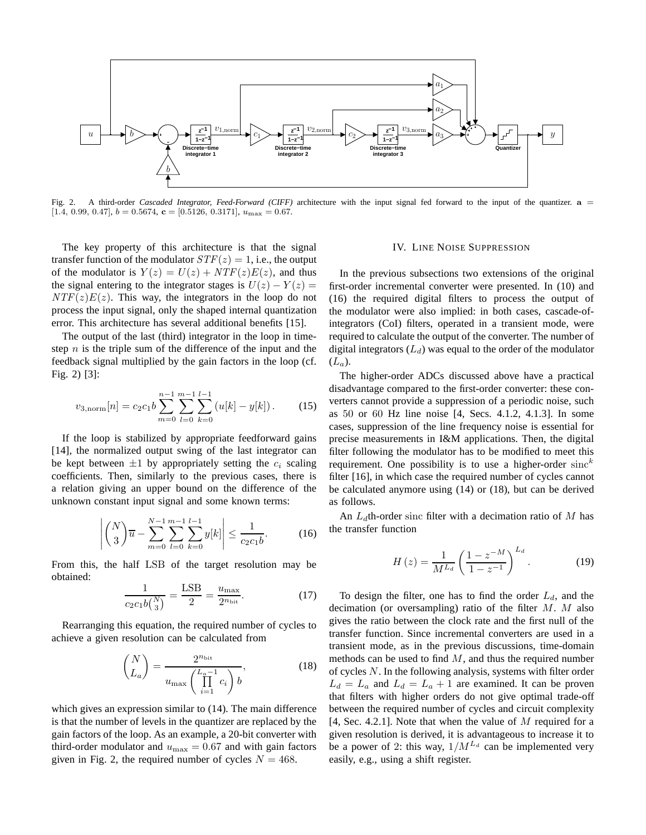

Fig. 2. A third-order *Cascaded Integrator, Feed-Forward (CIFF)* architecture with the input signal fed forward to the input of the quantizer.  $a =$ [1.4, 0.99, 0.47],  $b = 0.5674$ ,  $\mathbf{c} = [0.5126, 0.3171]$ ,  $u_{\text{max}} = 0.67$ .

The key property of this architecture is that the signal transfer function of the modulator  $STF(z) = 1$ , i.e., the output of the modulator is  $Y(z) = U(z) + NTF(z)E(z)$ , and thus the signal entering to the integrator stages is  $U(z) - Y(z) =$  $NTF(z)E(z)$ . This way, the integrators in the loop do not process the input signal, only the shaped internal quantization error. This architecture has several additional benefits [15].

The output of the last (third) integrator in the loop in timestep  $n$  is the triple sum of the difference of the input and the feedback signal multiplied by the gain factors in the loop (cf. Fig. 2) [3]:

$$
v_{3,\text{norm}}[n] = c_2 c_1 b \sum_{m=0}^{n-1} \sum_{l=0}^{m-1} \sum_{k=0}^{l-1} (u[k] - y[k]). \tag{15}
$$

If the loop is stabilized by appropriate feedforward gains [14], the normalized output swing of the last integrator can be kept between  $\pm 1$  by appropriately setting the  $c_i$  scaling coefficients. Then, similarly to the previous cases, there is a relation giving an upper bound on the difference of the unknown constant input signal and some known terms:

$$
\left| {N \choose 3} \overline{u} - \sum_{m=0}^{N-1} \sum_{l=0}^{m-1} \sum_{k=0}^{l-1} y[k] \right| \le \frac{1}{c_2 c_1 b}.
$$
 (16)

From this, the half LSB of the target resolution may be obtained:

$$
\frac{1}{c_2 c_1 b\binom{N}{3}} = \frac{\text{LSB}}{2} = \frac{u_{\text{max}}}{2^{n_{\text{bit}}}}.\tag{17}
$$

Rearranging this equation, the required number of cycles to achieve a given resolution can be calculated from

$$
\binom{N}{L_a} = \frac{2^{n_{\text{bit}}}}{u_{\text{max}} \left(\prod_{i=1}^{L_a - 1} c_i\right) b},\tag{18}
$$

which gives an expression similar to (14). The main difference is that the number of levels in the quantizer are replaced by the gain factors of the loop. As an example, a 20-bit converter with third-order modulator and  $u_{\text{max}} = 0.67$  and with gain factors given in Fig. 2, the required number of cycles  $N = 468$ .

## IV. LINE NOISE SUPPRESSION

In the previous subsections two extensions of the original first-order incremental converter were presented. In (10) and (16) the required digital filters to process the output of the modulator were also implied: in both cases, cascade-ofintegrators (CoI) filters, operated in a transient mode, were required to calculate the output of the converter. The number of digital integrators  $(L_d)$  was equal to the order of the modulator  $(L_a)$ .

The higher-order ADCs discussed above have a practical disadvantage compared to the first-order converter: these converters cannot provide a suppression of a periodic noise, such as 50 or 60 Hz line noise [4, Secs. 4.1.2, 4.1.3]. In some cases, suppression of the line frequency noise is essential for precise measurements in I&M applications. Then, the digital filter following the modulator has to be modified to meet this requirement. One possibility is to use a higher-order  $\text{sinc}^k$ filter [16], in which case the required number of cycles cannot be calculated anymore using (14) or (18), but can be derived as follows.

An  $L_d$ th-order sinc filter with a decimation ratio of M has the transfer function

$$
H(z) = \frac{1}{M^{L_d}} \left( \frac{1 - z^{-M}}{1 - z^{-1}} \right)^{L_d}.
$$
 (19)

To design the filter, one has to find the order  $L_d$ , and the decimation (or oversampling) ratio of the filter  $M$ .  $M$  also gives the ratio between the clock rate and the first null of the transfer function. Since incremental converters are used in a transient mode, as in the previous discussions, time-domain methods can be used to find  $M$ , and thus the required number of cycles N. In the following analysis, systems with filter order  $L_d = L_a$  and  $L_d = L_a + 1$  are examined. It can be proven that filters with higher orders do not give optimal trade-off between the required number of cycles and circuit complexity [4, Sec. 4.2.1]. Note that when the value of  $M$  required for a given resolution is derived, it is advantageous to increase it to be a power of 2: this way,  $1/M^{L_d}$  can be implemented very easily, e.g., using a shift register.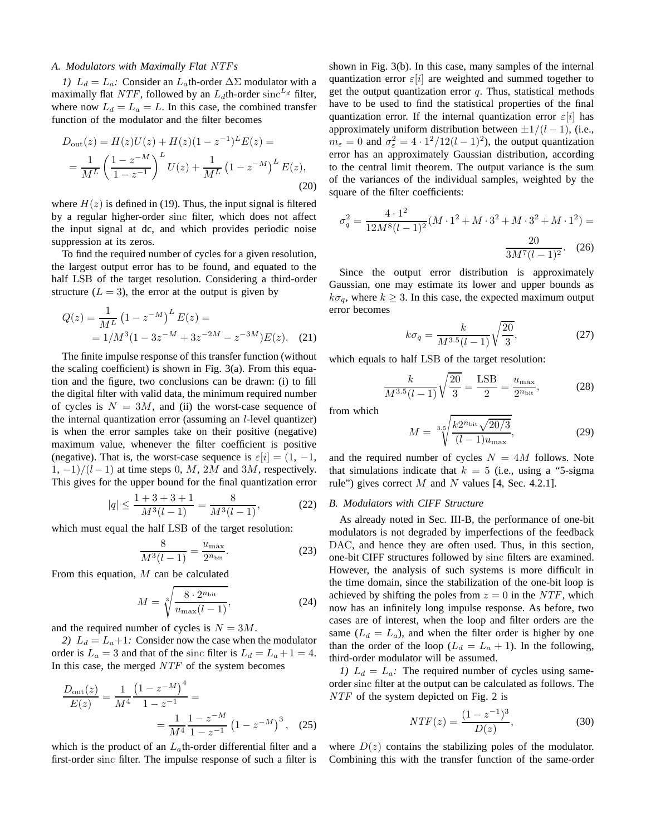#### *A. Modulators with Maximally Flat* NTF*s*

*1)*  $L_d = L_a$ : Consider an  $L_a$ th-order  $\Delta \Sigma$  modulator with a maximally flat NTF, followed by an  $L_d$ th-order sinc $L_d$  filter, where now  $L_d = L_a = L$ . In this case, the combined transfer function of the modulator and the filter becomes

$$
D_{\text{out}}(z) = H(z)U(z) + H(z)(1 - z^{-1})^L E(z) =
$$
  
= 
$$
\frac{1}{M^L} \left(\frac{1 - z^{-M}}{1 - z^{-1}}\right)^L U(z) + \frac{1}{M^L} (1 - z^{-M})^L E(z),
$$
 (20)

where  $H(z)$  is defined in (19). Thus, the input signal is filtered by a regular higher-order sinc filter, which does not affect the input signal at dc, and which provides periodic noise suppression at its zeros.

To find the required number of cycles for a given resolution, the largest output error has to be found, and equated to the half LSB of the target resolution. Considering a third-order structure  $(L = 3)$ , the error at the output is given by

$$
Q(z) = \frac{1}{M^L} (1 - z^{-M})^L E(z) =
$$
  
= 1/M<sup>3</sup>(1 - 3z<sup>-M</sup> + 3z<sup>-2M</sup> - z<sup>-3M</sup>)E(z). (21)

The finite impulse response of this transfer function (without the scaling coefficient) is shown in Fig. 3(a). From this equation and the figure, two conclusions can be drawn: (i) to fill the digital filter with valid data, the minimum required number of cycles is  $N = 3M$ , and (ii) the worst-case sequence of the internal quantization error (assuming an l-level quantizer) is when the error samples take on their positive (negative) maximum value, whenever the filter coefficient is positive (negative). That is, the worst-case sequence is  $\varepsilon[i] = (1, -1, -1)$  $(1, -1)/(l - 1)$  at time steps 0, M, 2M and 3M, respectively. This gives for the upper bound for the final quantization error

$$
|q| \le \frac{1+3+3+1}{M^3(l-1)} = \frac{8}{M^3(l-1)},
$$
\n(22)

which must equal the half LSB of the target resolution:

$$
\frac{8}{M^3(l-1)} = \frac{u_{\text{max}}}{2^{n_{\text{bit}}}}.\tag{23}
$$

From this equation, M can be calculated

$$
M = \sqrt[3]{\frac{8 \cdot 2^{n_{\text{bit}}}}{u_{\text{max}}(l-1)}},\tag{24}
$$

and the required number of cycles is  $N = 3M$ .

2)  $L_d = L_a + 1$ : Consider now the case when the modulator order is  $L_a = 3$  and that of the sinc filter is  $L_d = L_a + 1 = 4$ . In this case, the merged NTF of the system becomes

$$
\frac{D_{\text{out}}(z)}{E(z)} = \frac{1}{M^4} \frac{\left(1 - z^{-M}\right)^4}{1 - z^{-1}} =
$$
  
= 
$$
\frac{1}{M^4} \frac{1 - z^{-M}}{1 - z^{-1}} \left(1 - z^{-M}\right)^3, \quad (25)
$$

which is the product of an  $L_a$ th-order differential filter and a first-order sinc filter. The impulse response of such a filter is

shown in Fig. 3(b). In this case, many samples of the internal quantization error  $\varepsilon[i]$  are weighted and summed together to get the output quantization error  $q$ . Thus, statistical methods have to be used to find the statistical properties of the final quantization error. If the internal quantization error  $\varepsilon[i]$  has approximately uniform distribution between  $\pm 1/(l - 1)$ , (i.e.,  $m_{\varepsilon} = 0$  and  $\sigma_{\varepsilon}^2 = 4 \cdot 1^2 / 12(l-1)^2$ , the output quantization error has an approximately Gaussian distribution, according to the central limit theorem. The output variance is the sum of the variances of the individual samples, weighted by the square of the filter coefficients:

$$
\sigma_q^2 = \frac{4 \cdot 1^2}{12M^8(l-1)^2} (M \cdot 1^2 + M \cdot 3^2 + M \cdot 3^2 + M \cdot 1^2) = \frac{20}{3M^7(l-1)^2}.
$$
 (26)

Since the output error distribution is approximately Gaussian, one may estimate its lower and upper bounds as  $k\sigma_q$ , where  $k \geq 3$ . In this case, the expected maximum output error becomes

$$
k\sigma_q = \frac{k}{M^{3.5}(l-1)}\sqrt{\frac{20}{3}},
$$
\n(27)

which equals to half LSB of the target resolution:

$$
\frac{k}{M^{3.5}(l-1)}\sqrt{\frac{20}{3}} = \frac{\text{LSB}}{2} = \frac{u_{\text{max}}}{2^{n_{\text{bit}}}},\tag{28}
$$

from which

$$
M = \sqrt[3.5]{\frac{k2^{n_{\text{bit}}}\sqrt{20/3}}{(l-1)u_{\text{max}}}},
$$
\n(29)

and the required number of cycles  $N = 4M$  follows. Note that simulations indicate that  $k = 5$  (i.e., using a "5-sigma" rule") gives correct M and N values [4, Sec. 4.2.1].

# *B. Modulators with CIFF Structure*

As already noted in Sec. III-B, the performance of one-bit modulators is not degraded by imperfections of the feedback DAC, and hence they are often used. Thus, in this section, one-bit CIFF structures followed by sinc filters are examined. However, the analysis of such systems is more difficult in the time domain, since the stabilization of the one-bit loop is achieved by shifting the poles from  $z = 0$  in the NTF, which now has an infinitely long impulse response. As before, two cases are of interest, when the loop and filter orders are the same  $(L_d = L_a)$ , and when the filter order is higher by one than the order of the loop ( $L_d = L_a + 1$ ). In the following, third-order modulator will be assumed.

*1)*  $L_d = L_a$ : The required number of cycles using sameorder sinc filter at the output can be calculated as follows. The NTF of the system depicted on Fig. 2 is

$$
NTF(z) = \frac{(1 - z^{-1})^3}{D(z)},
$$
\n(30)

where  $D(z)$  contains the stabilizing poles of the modulator. Combining this with the transfer function of the same-order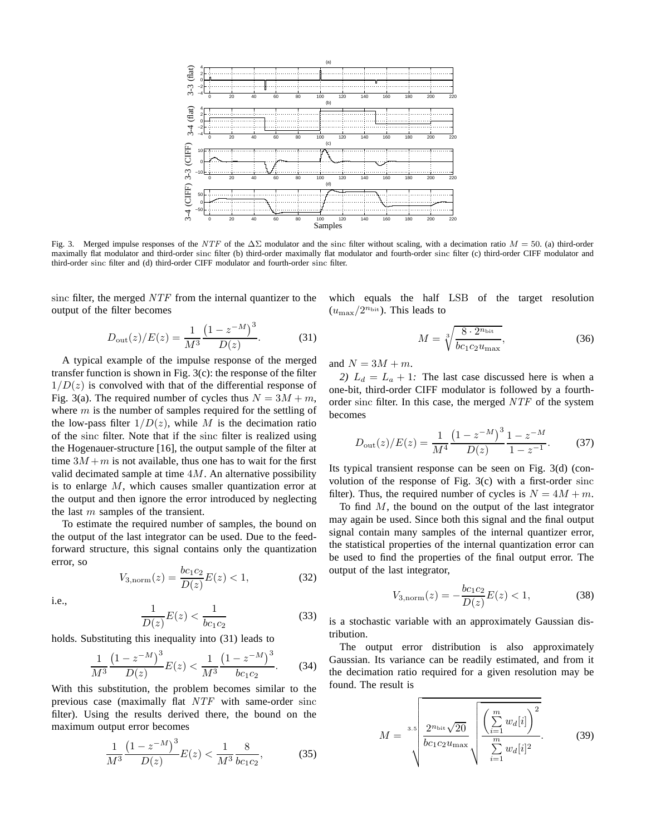

Fig. 3. Merged impulse responses of the NTF of the  $\Delta\Sigma$  modulator and the sinc filter without scaling, with a decimation ratio  $M = 50$ . (a) third-order maximally flat modulator and third-order sinc filter (b) third-order maximally flat modulator and fourth-order sinc filter (c) third-order CIFF modulator and third-order sinc filter and (d) third-order CIFF modulator and fourth-order sinc filter.

sinc filter, the merged NTF from the internal quantizer to the output of the filter becomes

$$
D_{\text{out}}(z)/E(z) = \frac{1}{M^3} \frac{\left(1 - z^{-M}\right)^3}{D(z)}.
$$
 (31)

A typical example of the impulse response of the merged transfer function is shown in Fig.  $3(c)$ : the response of the filter  $1/D(z)$  is convolved with that of the differential response of Fig. 3(a). The required number of cycles thus  $N = 3M + m$ , where  $m$  is the number of samples required for the settling of the low-pass filter  $1/D(z)$ , while M is the decimation ratio of the sinc filter. Note that if the sinc filter is realized using the Hogenauer-structure [16], the output sample of the filter at time  $3M + m$  is not available, thus one has to wait for the first valid decimated sample at time  $4M$ . An alternative possibility is to enlarge  $M$ , which causes smaller quantization error at the output and then ignore the error introduced by neglecting the last  $m$  samples of the transient.

To estimate the required number of samples, the bound on the output of the last integrator can be used. Due to the feedforward structure, this signal contains only the quantization error, so

$$
V_{3,\text{norm}}(z) = \frac{bc_1c_2}{D(z)}E(z) < 1,\tag{32}
$$

i.e.,

$$
\frac{1}{D(z)}E(z) < \frac{1}{bc_1c_2} \tag{33}
$$

holds. Substituting this inequality into (31) leads to

$$
\frac{1}{M^3} \frac{\left(1 - z^{-M}\right)^3}{D(z)} E(z) < \frac{1}{M^3} \frac{\left(1 - z^{-M}\right)^3}{bc_1c_2}.\tag{34}
$$

With this substitution, the problem becomes similar to the previous case (maximally flat NTF with same-order sinc filter). Using the results derived there, the bound on the maximum output error becomes

$$
\frac{1}{M^3} \frac{\left(1 - z^{-M}\right)^3}{D(z)} E(z) < \frac{1}{M^3} \frac{8}{bc_1 c_2},\tag{35}
$$

which equals the half LSB of the target resolution  $(u_{\text{max}}/2^{n_{\text{bit}}})$ . This leads to

$$
M = \sqrt[3]{\frac{8 \cdot 2^{n_{\text{bit}}}}{bc_1 c_2 u_{\text{max}}}},\tag{36}
$$

and  $N = 3M + m$ .

2)  $L_d = L_a + 1$ : The last case discussed here is when a one-bit, third-order CIFF modulator is followed by a fourthorder sinc filter. In this case, the merged NTF of the system becomes

$$
D_{\text{out}}(z)/E(z) = \frac{1}{M^4} \frac{\left(1 - z^{-M}\right)^3}{D(z)} \frac{1 - z^{-M}}{1 - z^{-1}}.
$$
 (37)

Its typical transient response can be seen on Fig. 3(d) (convolution of the response of Fig. 3(c) with a first-order sinc filter). Thus, the required number of cycles is  $N = 4M + m$ .

To find  $M$ , the bound on the output of the last integrator may again be used. Since both this signal and the final output signal contain many samples of the internal quantizer error, the statistical properties of the internal quantization error can be used to find the properties of the final output error. The output of the last integrator,

$$
V_{3,\text{norm}}(z) = -\frac{bc_1c_2}{D(z)}E(z) < 1,\tag{38}
$$

is a stochastic variable with an approximately Gaussian distribution.

The output error distribution is also approximately Gaussian. Its variance can be readily estimated, and from it the decimation ratio required for a given resolution may be found. The result is

$$
M = \sqrt[3.5]{\frac{2^{n_{\text{bit}}}\sqrt{20}}{bc_1c_2u_{\text{max}}}\sqrt{\frac{\left(\sum\limits_{i=1}^{m}w_d[i]\right)^2}{\sum\limits_{i=1}^{m}w_d[i]^2}}.
$$
 (39)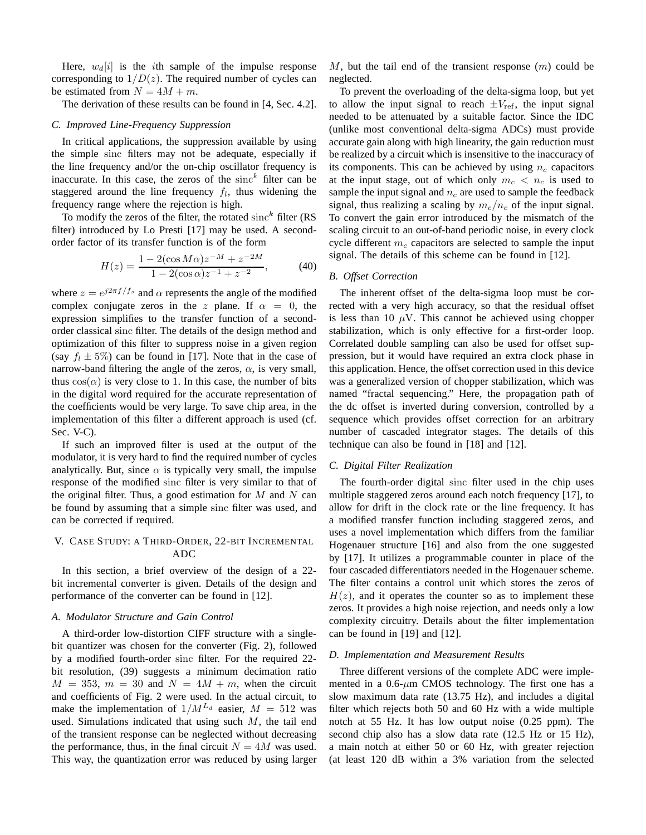Here,  $w_d[i]$  is the *i*th sample of the impulse response corresponding to  $1/D(z)$ . The required number of cycles can be estimated from  $N = 4M + m$ .

The derivation of these results can be found in [4, Sec. 4.2].

# *C. Improved Line-Frequency Suppression*

In critical applications, the suppression available by using the simple sinc filters may not be adequate, especially if the line frequency and/or the on-chip oscillator frequency is inaccurate. In this case, the zeros of the  $sinc<sup>k</sup>$  filter can be staggered around the line frequency  $f_l$ , thus widening the frequency range where the rejection is high.

To modify the zeros of the filter, the rotated  $\text{sinc}^k$  filter (RS filter) introduced by Lo Presti [17] may be used. A secondorder factor of its transfer function is of the form

$$
H(z) = \frac{1 - 2(\cos M\alpha)z^{-M} + z^{-2M}}{1 - 2(\cos \alpha)z^{-1} + z^{-2}},
$$
 (40)

where  $z = e^{j2\pi f/f_s}$  and  $\alpha$  represents the angle of the modified complex conjugate zeros in the z plane. If  $\alpha = 0$ , the expression simplifies to the transfer function of a secondorder classical sinc filter. The details of the design method and optimization of this filter to suppress noise in a given region (say  $f_l \pm 5\%$ ) can be found in [17]. Note that in the case of narrow-band filtering the angle of the zeros,  $\alpha$ , is very small, thus  $cos(\alpha)$  is very close to 1. In this case, the number of bits in the digital word required for the accurate representation of the coefficients would be very large. To save chip area, in the implementation of this filter a different approach is used (cf. Sec. V-C).

If such an improved filter is used at the output of the modulator, it is very hard to find the required number of cycles analytically. But, since  $\alpha$  is typically very small, the impulse response of the modified sinc filter is very similar to that of the original filter. Thus, a good estimation for  $M$  and  $N$  can be found by assuming that a simple sinc filter was used, and can be corrected if required.

# V. CASE STUDY: A THIRD-ORDER, 22-BIT INCREMENTAL ADC

In this section, a brief overview of the design of a 22 bit incremental converter is given. Details of the design and performance of the converter can be found in [12].

## *A. Modulator Structure and Gain Control*

A third-order low-distortion CIFF structure with a singlebit quantizer was chosen for the converter (Fig. 2), followed by a modified fourth-order sinc filter. For the required 22 bit resolution, (39) suggests a minimum decimation ratio  $M = 353$ ,  $m = 30$  and  $N = 4M + m$ , when the circuit and coefficients of Fig. 2 were used. In the actual circuit, to make the implementation of  $1/M^{L_d}$  easier,  $M = 512$  was used. Simulations indicated that using such  $M$ , the tail end of the transient response can be neglected without decreasing the performance, thus, in the final circuit  $N = 4M$  was used. This way, the quantization error was reduced by using larger

M, but the tail end of the transient response  $(m)$  could be neglected.

To prevent the overloading of the delta-sigma loop, but yet to allow the input signal to reach  $\pm V_{\text{ref}}$ , the input signal needed to be attenuated by a suitable factor. Since the IDC (unlike most conventional delta-sigma ADCs) must provide accurate gain along with high linearity, the gain reduction must be realized by a circuit which is insensitive to the inaccuracy of its components. This can be achieved by using  $n_c$  capacitors at the input stage, out of which only  $m_c < n_c$  is used to sample the input signal and  $n_c$  are used to sample the feedback signal, thus realizing a scaling by  $m_c/n_c$  of the input signal. To convert the gain error introduced by the mismatch of the scaling circuit to an out-of-band periodic noise, in every clock cycle different  $m_c$  capacitors are selected to sample the input signal. The details of this scheme can be found in [12].

# *B. Offset Correction*

The inherent offset of the delta-sigma loop must be corrected with a very high accuracy, so that the residual offset is less than 10  $\mu$ V. This cannot be achieved using chopper stabilization, which is only effective for a first-order loop. Correlated double sampling can also be used for offset suppression, but it would have required an extra clock phase in this application. Hence, the offset correction used in this device was a generalized version of chopper stabilization, which was named "fractal sequencing." Here, the propagation path of the dc offset is inverted during conversion, controlled by a sequence which provides offset correction for an arbitrary number of cascaded integrator stages. The details of this technique can also be found in [18] and [12].

# *C. Digital Filter Realization*

The fourth-order digital sinc filter used in the chip uses multiple staggered zeros around each notch frequency [17], to allow for drift in the clock rate or the line frequency. It has a modified transfer function including staggered zeros, and uses a novel implementation which differs from the familiar Hogenauer structure [16] and also from the one suggested by [17]. It utilizes a programmable counter in place of the four cascaded differentiators needed in the Hogenauer scheme. The filter contains a control unit which stores the zeros of  $H(z)$ , and it operates the counter so as to implement these zeros. It provides a high noise rejection, and needs only a low complexity circuitry. Details about the filter implementation can be found in [19] and [12].

## *D. Implementation and Measurement Results*

Three different versions of the complete ADC were implemented in a  $0.6-\mu m$  CMOS technology. The first one has a slow maximum data rate (13.75 Hz), and includes a digital filter which rejects both 50 and 60 Hz with a wide multiple notch at 55 Hz. It has low output noise (0.25 ppm). The second chip also has a slow data rate (12.5 Hz or 15 Hz), a main notch at either 50 or 60 Hz, with greater rejection (at least 120 dB within a 3% variation from the selected